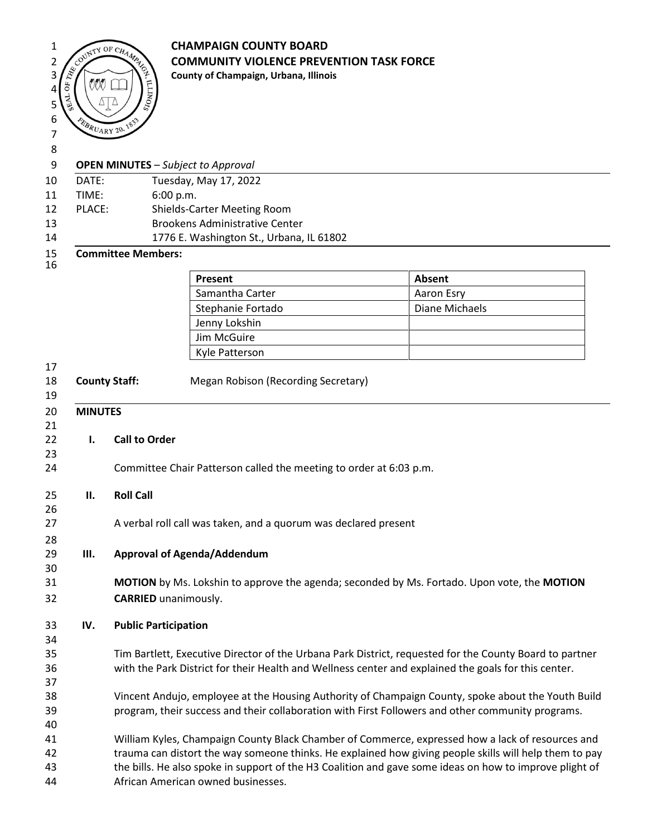

## <sup>1</sup> **CHAMPAIGN COUNTY BOARD**<br>
<sup>2</sup> **COMMUNITY VIOLENCE PREVISTING 2**  $\left(\sqrt{2}\right)^{1/2}$  **COMMUNITY VIOLENCE PREVENTION TASK FORCE**

## 

- **OPEN MINUTES** *Subject to Approval*
- DATE: Tuesday, May 17, 2022 TIME: 6:00 p.m.
- PLACE: Shields-Carter Meeting Room
- 13 Brookens Administrative Center
- 14 1776 E. Washington St., Urbana, IL 61802

## **Committee Members:**

| Present           | Absent         |
|-------------------|----------------|
| Samantha Carter   | Aaron Esry     |
| Stephanie Fortado | Diane Michaels |
| Jenny Lokshin     |                |
| Jim McGuire       |                |
| Kyle Patterson    |                |

- 
- **County Staff:** Megan Robison (Recording Secretary)
- **MINUTES I. Call to Order** Committee Chair Patterson called the meeting to order at 6:03 p.m. **II. Roll Call** 27 A verbal roll call was taken, and a quorum was declared present **III. Approval of Agenda/Addendum MOTION** by Ms. Lokshin to approve the agenda; seconded by Ms. Fortado. Upon vote, the **MOTION CARRIED** unanimously. **IV. Public Participation** Tim Bartlett, Executive Director of the Urbana Park District, requested for the County Board to partner with the Park District for their Health and Wellness center and explained the goals for this center. Vincent Andujo, employee at the Housing Authority of Champaign County, spoke about the Youth Build program, their success and their collaboration with First Followers and other community programs.
- William Kyles, Champaign County Black Chamber of Commerce, expressed how a lack of resources and trauma can distort the way someone thinks. He explained how giving people skills will help them to pay the bills. He also spoke in support of the H3 Coalition and gave some ideas on how to improve plight of
- African American owned businesses.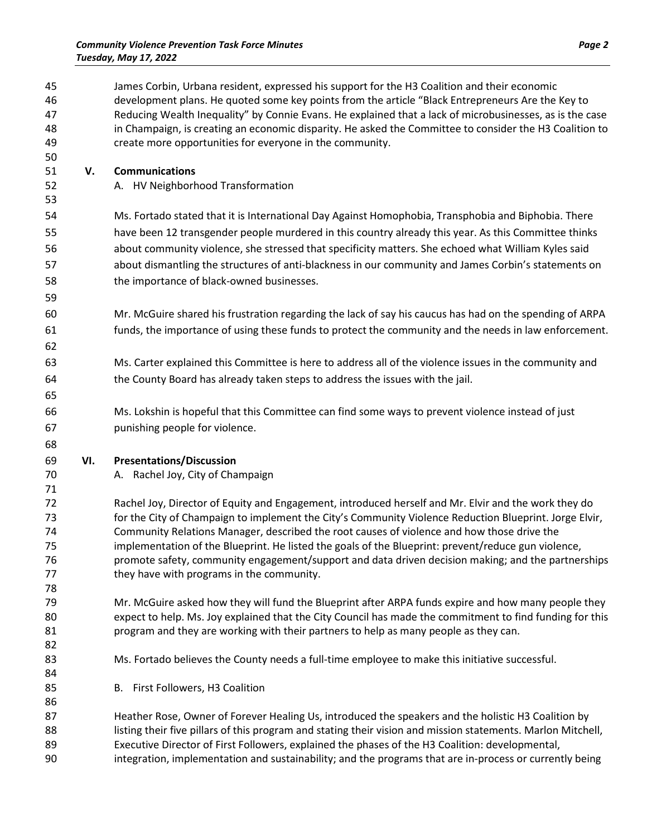| 45<br>46<br>47<br>48                   |     | James Corbin, Urbana resident, expressed his support for the H3 Coalition and their economic<br>development plans. He quoted some key points from the article "Black Entrepreneurs Are the Key to<br>Reducing Wealth Inequality" by Connie Evans. He explained that a lack of microbusinesses, as is the case<br>in Champaign, is creating an economic disparity. He asked the Committee to consider the H3 Coalition to                                                                                                                                               |
|----------------------------------------|-----|------------------------------------------------------------------------------------------------------------------------------------------------------------------------------------------------------------------------------------------------------------------------------------------------------------------------------------------------------------------------------------------------------------------------------------------------------------------------------------------------------------------------------------------------------------------------|
| 49<br>50                               |     | create more opportunities for everyone in the community.                                                                                                                                                                                                                                                                                                                                                                                                                                                                                                               |
| 51<br>52<br>53                         | V.  | <b>Communications</b><br>A. HV Neighborhood Transformation                                                                                                                                                                                                                                                                                                                                                                                                                                                                                                             |
| 54<br>55<br>56<br>57<br>58<br>59       |     | Ms. Fortado stated that it is International Day Against Homophobia, Transphobia and Biphobia. There<br>have been 12 transgender people murdered in this country already this year. As this Committee thinks<br>about community violence, she stressed that specificity matters. She echoed what William Kyles said<br>about dismantling the structures of anti-blackness in our community and James Corbin's statements on<br>the importance of black-owned businesses.                                                                                                |
| 60<br>61<br>62                         |     | Mr. McGuire shared his frustration regarding the lack of say his caucus has had on the spending of ARPA<br>funds, the importance of using these funds to protect the community and the needs in law enforcement.                                                                                                                                                                                                                                                                                                                                                       |
| 63<br>64<br>65                         |     | Ms. Carter explained this Committee is here to address all of the violence issues in the community and<br>the County Board has already taken steps to address the issues with the jail.                                                                                                                                                                                                                                                                                                                                                                                |
| 66<br>67<br>68                         |     | Ms. Lokshin is hopeful that this Committee can find some ways to prevent violence instead of just<br>punishing people for violence.                                                                                                                                                                                                                                                                                                                                                                                                                                    |
| 69<br>70<br>71                         | VI. | <b>Presentations/Discussion</b><br>A. Rachel Joy, City of Champaign                                                                                                                                                                                                                                                                                                                                                                                                                                                                                                    |
| 72<br>73<br>74<br>75<br>76<br>77<br>78 |     | Rachel Joy, Director of Equity and Engagement, introduced herself and Mr. Elvir and the work they do<br>for the City of Champaign to implement the City's Community Violence Reduction Blueprint. Jorge Elvir,<br>Community Relations Manager, described the root causes of violence and how those drive the<br>implementation of the Blueprint. He listed the goals of the Blueprint: prevent/reduce gun violence,<br>promote safety, community engagement/support and data driven decision making; and the partnerships<br>they have with programs in the community. |
| 79<br>80<br>81<br>82                   |     | Mr. McGuire asked how they will fund the Blueprint after ARPA funds expire and how many people they<br>expect to help. Ms. Joy explained that the City Council has made the commitment to find funding for this<br>program and they are working with their partners to help as many people as they can.                                                                                                                                                                                                                                                                |
| 83<br>84<br>85                         |     | Ms. Fortado believes the County needs a full-time employee to make this initiative successful.<br>B. First Followers, H3 Coalition                                                                                                                                                                                                                                                                                                                                                                                                                                     |
| 86<br>87<br>88<br>89<br>90             |     | Heather Rose, Owner of Forever Healing Us, introduced the speakers and the holistic H3 Coalition by<br>listing their five pillars of this program and stating their vision and mission statements. Marlon Mitchell,<br>Executive Director of First Followers, explained the phases of the H3 Coalition: developmental,<br>integration, implementation and sustainability; and the programs that are in-process or currently being                                                                                                                                      |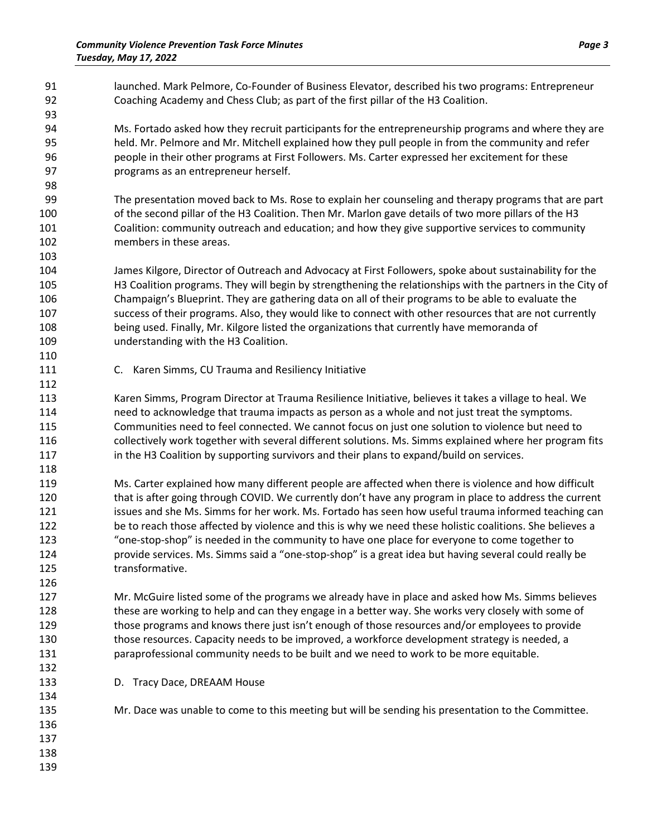| 91<br>92<br>93                                       | launched. Mark Pelmore, Co-Founder of Business Elevator, described his two programs: Entrepreneur<br>Coaching Academy and Chess Club; as part of the first pillar of the H3 Coalition.                                                                                                                                                                                                                                                                                                                                                                                                                                                                         |
|------------------------------------------------------|----------------------------------------------------------------------------------------------------------------------------------------------------------------------------------------------------------------------------------------------------------------------------------------------------------------------------------------------------------------------------------------------------------------------------------------------------------------------------------------------------------------------------------------------------------------------------------------------------------------------------------------------------------------|
| 94<br>95<br>96<br>97<br>98                           | Ms. Fortado asked how they recruit participants for the entrepreneurship programs and where they are<br>held. Mr. Pelmore and Mr. Mitchell explained how they pull people in from the community and refer<br>people in their other programs at First Followers. Ms. Carter expressed her excitement for these<br>programs as an entrepreneur herself.                                                                                                                                                                                                                                                                                                          |
| 99<br>100<br>101<br>102                              | The presentation moved back to Ms. Rose to explain her counseling and therapy programs that are part<br>of the second pillar of the H3 Coalition. Then Mr. Marlon gave details of two more pillars of the H3<br>Coalition: community outreach and education; and how they give supportive services to community<br>members in these areas.                                                                                                                                                                                                                                                                                                                     |
| 103<br>104<br>105<br>106<br>107<br>108<br>109        | James Kilgore, Director of Outreach and Advocacy at First Followers, spoke about sustainability for the<br>H3 Coalition programs. They will begin by strengthening the relationships with the partners in the City of<br>Champaign's Blueprint. They are gathering data on all of their programs to be able to evaluate the<br>success of their programs. Also, they would like to connect with other resources that are not currently<br>being used. Finally, Mr. Kilgore listed the organizations that currently have memoranda of<br>understanding with the H3 Coalition.                                                                                   |
| 110<br>111<br>112                                    | C. Karen Simms, CU Trauma and Resiliency Initiative                                                                                                                                                                                                                                                                                                                                                                                                                                                                                                                                                                                                            |
| 113<br>114<br>115<br>116<br>117                      | Karen Simms, Program Director at Trauma Resilience Initiative, believes it takes a village to heal. We<br>need to acknowledge that trauma impacts as person as a whole and not just treat the symptoms.<br>Communities need to feel connected. We cannot focus on just one solution to violence but need to<br>collectively work together with several different solutions. Ms. Simms explained where her program fits<br>in the H3 Coalition by supporting survivors and their plans to expand/build on services.                                                                                                                                             |
| 118<br>119<br>120<br>121<br>122<br>123<br>124<br>125 | Ms. Carter explained how many different people are affected when there is violence and how difficult<br>that is after going through COVID. We currently don't have any program in place to address the current<br>issues and she Ms. Simms for her work. Ms. Fortado has seen how useful trauma informed teaching can<br>be to reach those affected by violence and this is why we need these holistic coalitions. She believes a<br>"one-stop-shop" is needed in the community to have one place for everyone to come together to<br>provide services. Ms. Simms said a "one-stop-shop" is a great idea but having several could really be<br>transformative. |
| 126<br>127<br>128<br>129<br>130<br>131<br>132        | Mr. McGuire listed some of the programs we already have in place and asked how Ms. Simms believes<br>these are working to help and can they engage in a better way. She works very closely with some of<br>those programs and knows there just isn't enough of those resources and/or employees to provide<br>those resources. Capacity needs to be improved, a workforce development strategy is needed, a<br>paraprofessional community needs to be built and we need to work to be more equitable.                                                                                                                                                          |
| 133<br>134                                           | D. Tracy Dace, DREAAM House                                                                                                                                                                                                                                                                                                                                                                                                                                                                                                                                                                                                                                    |
| 135<br>136<br>137<br>138<br>139                      | Mr. Dace was unable to come to this meeting but will be sending his presentation to the Committee.                                                                                                                                                                                                                                                                                                                                                                                                                                                                                                                                                             |